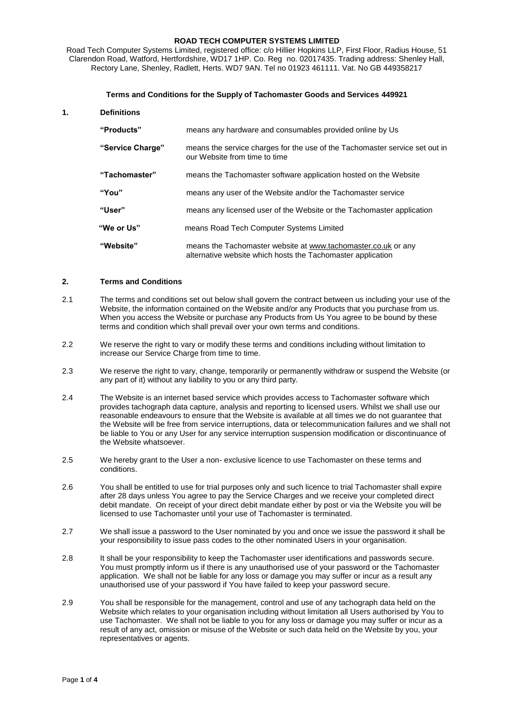#### **ROAD TECH COMPUTER SYSTEMS LIMITED**

Road Tech Computer Systems Limited, registered office: c/o Hillier Hopkins LLP, First Floor, Radius House, 51 Clarendon Road, Watford, Hertfordshire, WD17 1HP. Co. Reg no. 02017435. Trading address: Shenley Hall, Rectory Lane, Shenley, Radlett, Herts. WD7 9AN. Tel no 01923 461111. Vat. No GB 449358217

#### **Terms and Conditions for the Supply of Tachomaster Goods and Services 449921**

## **1. Definitions**

| "Products"       | means any hardware and consumables provided online by Us                                                                     |
|------------------|------------------------------------------------------------------------------------------------------------------------------|
| "Service Charge" | means the service charges for the use of the Tachomaster service set out in<br>our Website from time to time                 |
| "Tachomaster"    | means the Tachomaster software application hosted on the Website                                                             |
| "You"            | means any user of the Website and/or the Tachomaster service                                                                 |
| "User"           | means any licensed user of the Website or the Tachomaster application                                                        |
| "We or Us"       | means Road Tech Computer Systems Limited                                                                                     |
| "Website"        | means the Tachomaster website at www.tachomaster.co.uk or any<br>alternative website which hosts the Tachomaster application |

## **2. Terms and Conditions**

- 2.1 The terms and conditions set out below shall govern the contract between us including your use of the Website, the information contained on the Website and/or any Products that you purchase from us. When you access the Website or purchase any Products from Us You agree to be bound by these terms and condition which shall prevail over your own terms and conditions.
- 2.2 We reserve the right to vary or modify these terms and conditions including without limitation to increase our Service Charge from time to time.
- 2.3 We reserve the right to vary, change, temporarily or permanently withdraw or suspend the Website (or any part of it) without any liability to you or any third party.
- 2.4 The Website is an internet based service which provides access to Tachomaster software which provides tachograph data capture, analysis and reporting to licensed users. Whilst we shall use our reasonable endeavours to ensure that the Website is available at all times we do not guarantee that the Website will be free from service interruptions, data or telecommunication failures and we shall not be liable to You or any User for any service interruption suspension modification or discontinuance of the Website whatsoever.
- 2.5 We hereby grant to the User a non- exclusive licence to use Tachomaster on these terms and conditions.
- 2.6 You shall be entitled to use for trial purposes only and such licence to trial Tachomaster shall expire after 28 days unless You agree to pay the Service Charges and we receive your completed direct debit mandate. On receipt of your direct debit mandate either by post or via the Website you will be licensed to use Tachomaster until your use of Tachomaster is terminated.
- 2.7 We shall issue a password to the User nominated by you and once we issue the password it shall be your responsibility to issue pass codes to the other nominated Users in your organisation.
- 2.8 It shall be your responsibility to keep the Tachomaster user identifications and passwords secure. You must promptly inform us if there is any unauthorised use of your password or the Tachomaster application. We shall not be liable for any loss or damage you may suffer or incur as a result any unauthorised use of your password if You have failed to keep your password secure.
- 2.9 You shall be responsible for the management, control and use of any tachograph data held on the Website which relates to your organisation including without limitation all Users authorised by You to use Tachomaster. We shall not be liable to you for any loss or damage you may suffer or incur as a result of any act, omission or misuse of the Website or such data held on the Website by you, your representatives or agents.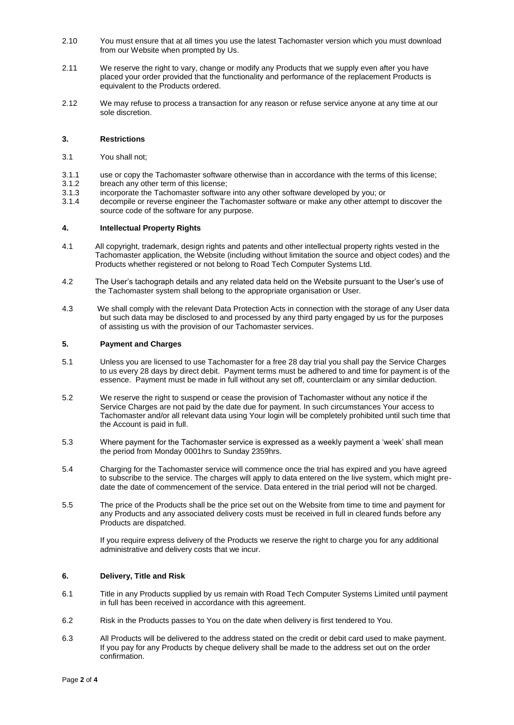- 2.10 You must ensure that at all times you use the latest Tachomaster version which you must download from our Website when prompted by Us.
- 2.11 We reserve the right to vary, change or modify any Products that we supply even after you have placed your order provided that the functionality and performance of the replacement Products is equivalent to the Products ordered.
- 2.12 We may refuse to process a transaction for any reason or refuse service anyone at any time at our sole discretion.

# **3. Restrictions**

- 3.1 You shall not;
- 3.1.1 use or copy the Tachomaster software otherwise than in accordance with the terms of this license;
- 3.1.2 breach any other term of this license;<br>3.1.3 incorporate the Tachomaster software
- 3.1.3 incorporate the Tachomaster software into any other software developed by you; or<br>3.1.4 decompile or reverse engineer the Tachomaster software or make any other attemp
- decompile or reverse engineer the Tachomaster software or make any other attempt to discover the source code of the software for any purpose.

## **4. Intellectual Property Rights**

- 4.1 All copyright, trademark, design rights and patents and other intellectual property rights vested in the Tachomaster application, the Website (including without limitation the source and object codes) and the Products whether registered or not belong to Road Tech Computer Systems Ltd.
- 4.2 The User's tachograph details and any related data held on the Website pursuant to the User's use of the Tachomaster system shall belong to the appropriate organisation or User.
- 4.3 We shall comply with the relevant Data Protection Acts in connection with the storage of any User data but such data may be disclosed to and processed by any third party engaged by us for the purposes of assisting us with the provision of our Tachomaster services.

## **5. Payment and Charges**

- 5.1 Unless you are licensed to use Tachomaster for a free 28 day trial you shall pay the Service Charges to us every 28 days by direct debit. Payment terms must be adhered to and time for payment is of the essence. Payment must be made in full without any set off, counterclaim or any similar deduction.
- 5.2 We reserve the right to suspend or cease the provision of Tachomaster without any notice if the Service Charges are not paid by the date due for payment. In such circumstances Your access to Tachomaster and/or all relevant data using Your login will be completely prohibited until such time that the Account is paid in full.
- 5.3 Where payment for the Tachomaster service is expressed as a weekly payment a 'week' shall mean the period from Monday 0001hrs to Sunday 2359hrs.
- 5.4 Charging for the Tachomaster service will commence once the trial has expired and you have agreed to subscribe to the service. The charges will apply to data entered on the live system, which might predate the date of commencement of the service. Data entered in the trial period will not be charged.
- 5.5 The price of the Products shall be the price set out on the Website from time to time and payment for any Products and any associated delivery costs must be received in full in cleared funds before any Products are dispatched.

If you require express delivery of the Products we reserve the right to charge you for any additional administrative and delivery costs that we incur.

#### **6. Delivery, Title and Risk**

- 6.1 Title in any Products supplied by us remain with Road Tech Computer Systems Limited until payment in full has been received in accordance with this agreement.
- 6.2 Risk in the Products passes to You on the date when delivery is first tendered to You.
- 6.3 All Products will be delivered to the address stated on the credit or debit card used to make payment. If you pay for any Products by cheque delivery shall be made to the address set out on the order confirmation.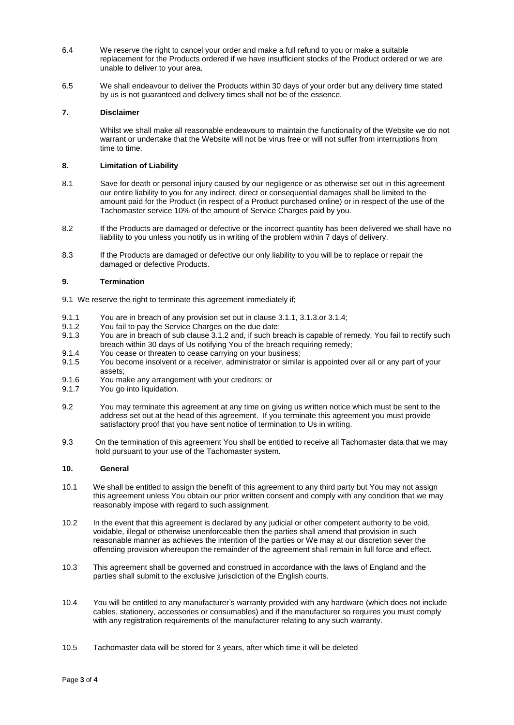- 6.4 We reserve the right to cancel your order and make a full refund to you or make a suitable replacement for the Products ordered if we have insufficient stocks of the Product ordered or we are unable to deliver to your area.
- 6.5 We shall endeavour to deliver the Products within 30 days of your order but any delivery time stated by us is not guaranteed and delivery times shall not be of the essence.

# **7. Disclaimer**

Whilst we shall make all reasonable endeavours to maintain the functionality of the Website we do not warrant or undertake that the Website will not be virus free or will not suffer from interruptions from time to time.

## **8. Limitation of Liability**

- 8.1 Save for death or personal injury caused by our negligence or as otherwise set out in this agreement our entire liability to you for any indirect, direct or consequential damages shall be limited to the amount paid for the Product (in respect of a Product purchased online) or in respect of the use of the Tachomaster service 10% of the amount of Service Charges paid by you.
- 8.2 If the Products are damaged or defective or the incorrect quantity has been delivered we shall have no liability to you unless you notify us in writing of the problem within 7 days of delivery.
- 8.3 If the Products are damaged or defective our only liability to you will be to replace or repair the damaged or defective Products.

# **9. Termination**

- 9.1 We reserve the right to terminate this agreement immediately if;
- 9.1.1 You are in breach of any provision set out in clause 3.1.1, 3.1.3.or 3.1.4;<br>9.1.2 You fail to pay the Service Charges on the due date:
- You fail to pay the Service Charges on the due date:
- 9.1.3 You are in breach of sub clause 3.1.2 and, if such breach is capable of remedy, You fail to rectify such breach within 30 days of Us notifying You of the breach requiring remedy;
- 9.1.4 You cease or threaten to cease carrying on your business;
- 9.1.5 You become insolvent or a receiver, administrator or similar is appointed over all or any part of your assets;
- 9.1.6 You make any arrangement with your creditors; or
- 9.1.7 You go into liquidation.
- 9.2 You may terminate this agreement at any time on giving us written notice which must be sent to the address set out at the head of this agreement. If you terminate this agreement you must provide satisfactory proof that you have sent notice of termination to Us in writing.
- 9.3 On the termination of this agreement You shall be entitled to receive all Tachomaster data that we may hold pursuant to your use of the Tachomaster system.

# **10. General**

- 10.1 We shall be entitled to assign the benefit of this agreement to any third party but You may not assign this agreement unless You obtain our prior written consent and comply with any condition that we may reasonably impose with regard to such assignment.
- 10.2 In the event that this agreement is declared by any judicial or other competent authority to be void, voidable, illegal or otherwise unenforceable then the parties shall amend that provision in such reasonable manner as achieves the intention of the parties or We may at our discretion sever the offending provision whereupon the remainder of the agreement shall remain in full force and effect.
- 10.3 This agreement shall be governed and construed in accordance with the laws of England and the parties shall submit to the exclusive jurisdiction of the English courts.
- 10.4 You will be entitled to any manufacturer's warranty provided with any hardware (which does not include cables, stationery, accessories or consumables) and if the manufacturer so requires you must comply with any registration requirements of the manufacturer relating to any such warranty.
- 10.5 Tachomaster data will be stored for 3 years, after which time it will be deleted